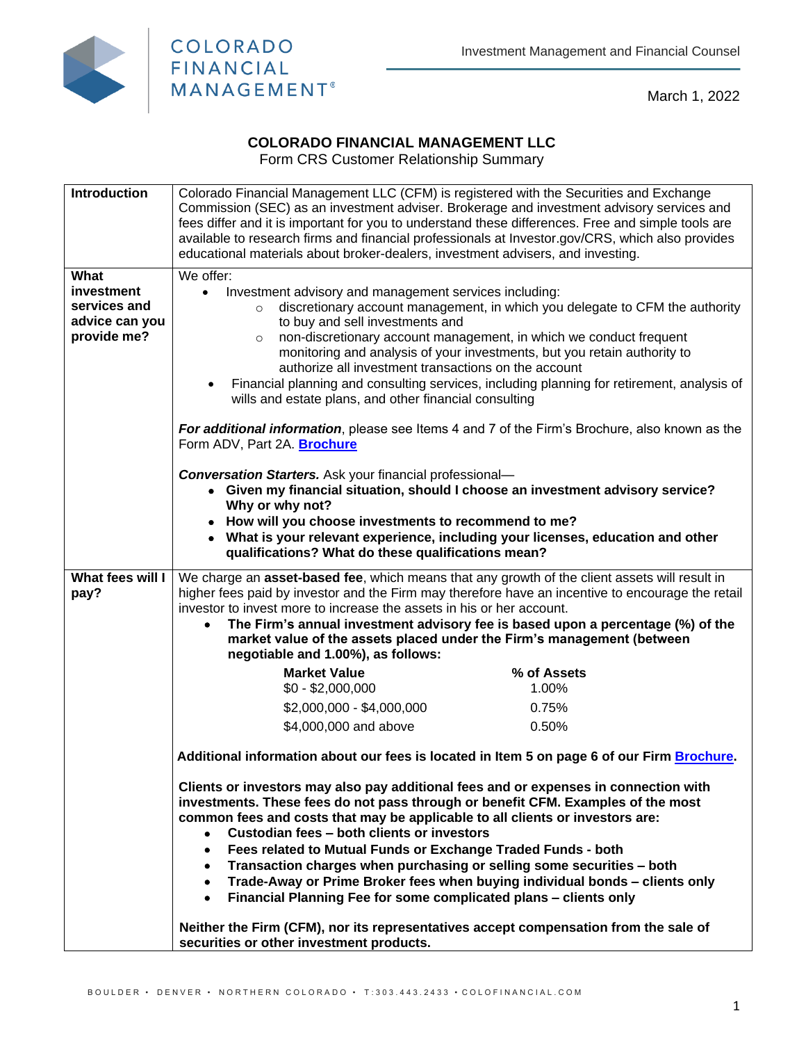

March 1, 2022

## **COLORADO FINANCIAL MANAGEMENT LLC**

Form CRS Customer Relationship Summary

| <b>Introduction</b>       | Colorado Financial Management LLC (CFM) is registered with the Securities and Exchange<br>Commission (SEC) as an investment adviser. Brokerage and investment advisory services and                |                                                                                                                                                                                                        |  |
|---------------------------|----------------------------------------------------------------------------------------------------------------------------------------------------------------------------------------------------|--------------------------------------------------------------------------------------------------------------------------------------------------------------------------------------------------------|--|
|                           | educational materials about broker-dealers, investment advisers, and investing.                                                                                                                    | fees differ and it is important for you to understand these differences. Free and simple tools are<br>available to research firms and financial professionals at Investor.gov/CRS, which also provides |  |
|                           |                                                                                                                                                                                                    |                                                                                                                                                                                                        |  |
| What<br><b>investment</b> | We offer:<br>$\bullet$                                                                                                                                                                             |                                                                                                                                                                                                        |  |
| services and              | Investment advisory and management services including:<br>discretionary account management, in which you delegate to CFM the authority<br>$\circ$                                                  |                                                                                                                                                                                                        |  |
| advice can you            | to buy and sell investments and                                                                                                                                                                    |                                                                                                                                                                                                        |  |
| provide me?               | $\circ$                                                                                                                                                                                            | non-discretionary account management, in which we conduct frequent                                                                                                                                     |  |
|                           |                                                                                                                                                                                                    | monitoring and analysis of your investments, but you retain authority to                                                                                                                               |  |
|                           | authorize all investment transactions on the account                                                                                                                                               |                                                                                                                                                                                                        |  |
|                           | wills and estate plans, and other financial consulting                                                                                                                                             | Financial planning and consulting services, including planning for retirement, analysis of                                                                                                             |  |
|                           | Form ADV, Part 2A. Brochure                                                                                                                                                                        | For additional information, please see Items 4 and 7 of the Firm's Brochure, also known as the                                                                                                         |  |
|                           | <b>Conversation Starters.</b> Ask your financial professional-                                                                                                                                     |                                                                                                                                                                                                        |  |
|                           |                                                                                                                                                                                                    | • Given my financial situation, should I choose an investment advisory service?                                                                                                                        |  |
|                           | Why or why not?                                                                                                                                                                                    |                                                                                                                                                                                                        |  |
|                           | • How will you choose investments to recommend to me?                                                                                                                                              | What is your relevant experience, including your licenses, education and other                                                                                                                         |  |
|                           | qualifications? What do these qualifications mean?                                                                                                                                                 |                                                                                                                                                                                                        |  |
| What fees will I          |                                                                                                                                                                                                    |                                                                                                                                                                                                        |  |
| pay?                      | We charge an asset-based fee, which means that any growth of the client assets will result in<br>higher fees paid by investor and the Firm may therefore have an incentive to encourage the retail |                                                                                                                                                                                                        |  |
|                           | investor to invest more to increase the assets in his or her account.                                                                                                                              |                                                                                                                                                                                                        |  |
|                           | The Firm's annual investment advisory fee is based upon a percentage (%) of the<br>$\bullet$                                                                                                       |                                                                                                                                                                                                        |  |
|                           | market value of the assets placed under the Firm's management (between<br>negotiable and 1.00%), as follows:                                                                                       |                                                                                                                                                                                                        |  |
|                           | <b>Market Value</b>                                                                                                                                                                                | % of Assets                                                                                                                                                                                            |  |
|                           | $$0 - $2,000,000$                                                                                                                                                                                  | 1.00%                                                                                                                                                                                                  |  |
|                           | \$2,000,000 - \$4,000,000                                                                                                                                                                          | 0.75%                                                                                                                                                                                                  |  |
|                           | \$4,000,000 and above                                                                                                                                                                              | 0.50%                                                                                                                                                                                                  |  |
|                           |                                                                                                                                                                                                    | Additional information about our fees is located in Item 5 on page 6 of our Firm Brochure.                                                                                                             |  |
|                           | Clients or investors may also pay additional fees and or expenses in connection with<br>investments. These fees do not pass through or benefit CFM. Examples of the most                           |                                                                                                                                                                                                        |  |
|                           | common fees and costs that may be applicable to all clients or investors are:                                                                                                                      |                                                                                                                                                                                                        |  |
|                           | Custodian fees - both clients or investors                                                                                                                                                         |                                                                                                                                                                                                        |  |
|                           | Fees related to Mutual Funds or Exchange Traded Funds - both<br>٠                                                                                                                                  |                                                                                                                                                                                                        |  |
|                           |                                                                                                                                                                                                    |                                                                                                                                                                                                        |  |
|                           | ٠                                                                                                                                                                                                  | Transaction charges when purchasing or selling some securities - both                                                                                                                                  |  |
|                           | Financial Planning Fee for some complicated plans - clients only<br>٠                                                                                                                              | Trade-Away or Prime Broker fees when buying individual bonds - clients only                                                                                                                            |  |
|                           | Neither the Firm (CFM), nor its representatives accept compensation from the sale of                                                                                                               |                                                                                                                                                                                                        |  |